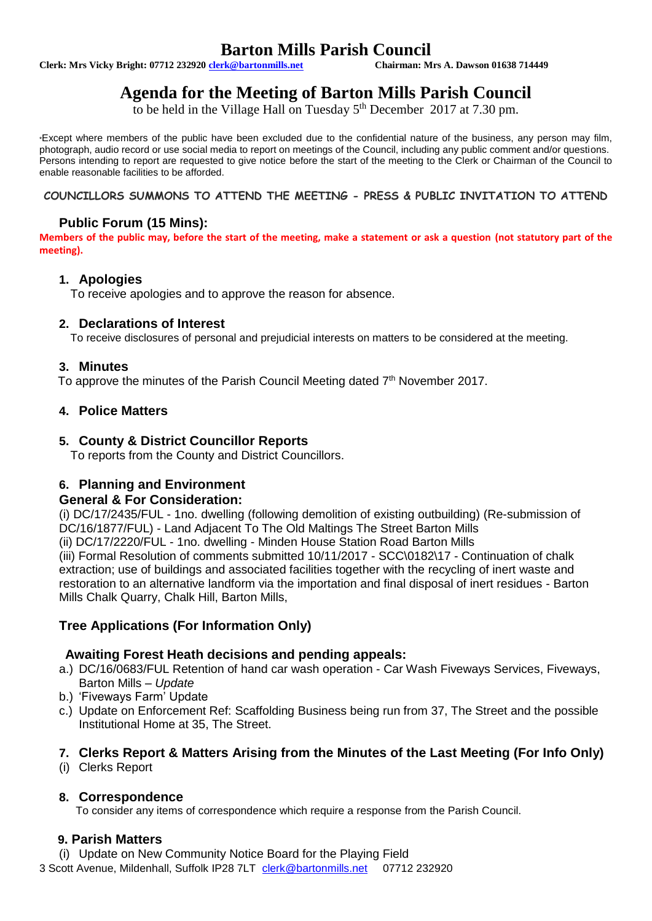# **Barton Mills Parish Council**<br>Chairman: Mrs A. Dawson 01638 714449

**Clerk: Mrs Vicky Bright: 07712 232920 clerk@bartonmills.net** 

# **Agenda for the Meeting of Barton Mills Parish Council**

to be held in the Village Hall on Tuesday 5<sup>th</sup> December 2017 at 7.30 pm.

\*Except where members of the public have been excluded due to the confidential nature of the business, any person may film, photograph, audio record or use social media to report on meetings of the Council, including any public comment and/or questions. Persons intending to report are requested to give notice before the start of the meeting to the Clerk or Chairman of the Council to enable reasonable facilities to be afforded.

#### **COUNCILLORS SUMMONS TO ATTEND THE MEETING - PRESS & PUBLIC INVITATION TO ATTEND**

# **Public Forum (15 Mins):**

**Members of the public may, before the start of the meeting, make a statement or ask a question (not statutory part of the meeting).**

#### **1. Apologies**

To receive apologies and to approve the reason for absence.

#### **2. Declarations of Interest**

To receive disclosures of personal and prejudicial interests on matters to be considered at the meeting.

#### **3. Minutes**

To approve the minutes of the Parish Council Meeting dated 7<sup>th</sup> November 2017.

# **4. Police Matters**

#### **5. County & District Councillor Reports**

To reports from the County and District Councillors.

# **6. Planning and Environment**

#### **General & For Consideration:**

(i) DC/17/2435/FUL - 1no. dwelling (following demolition of existing outbuilding) (Re-submission of DC/16/1877/FUL) - Land Adjacent To The Old Maltings The Street Barton Mills (ii) DC/17/2220/FUL - 1no. dwelling - Minden House Station Road Barton Mills (iii) Formal Resolution of comments submitted 10/11/2017 - SCC\0182\17 - Continuation of chalk extraction; use of buildings and associated facilities together with the recycling of inert waste and restoration to an alternative landform via the importation and final disposal of inert residues - Barton Mills Chalk Quarry, Chalk Hill, Barton Mills,

# **Tree Applications (For Information Only)**

# **Awaiting Forest Heath decisions and pending appeals:**

- a.) DC/16/0683/FUL Retention of hand car wash operation Car Wash Fiveways Services, Fiveways, Barton Mills – *Update*
- b.) 'Fiveways Farm' Update
- c.) Update on Enforcement Ref: Scaffolding Business being run from 37, The Street and the possible Institutional Home at 35, The Street.

# **7. Clerks Report & Matters Arising from the Minutes of the Last Meeting (For Info Only)**

(i) Clerks Report

# **8. Correspondence**

To consider any items of correspondence which require a response from the Parish Council.

# **9. Parish Matters**

(i) Update on New Community Notice Board for the Playing Field

3 Scott Avenue, Mildenhall, Suffolk IP28 7LT [clerk@bartonmills.net](mailto:clerk@bartonmills.net) 07712 232920